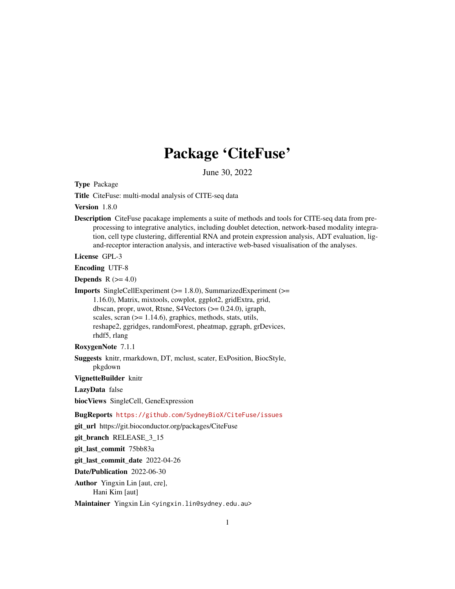# Package 'CiteFuse'

June 30, 2022

Type Package

Title CiteFuse: multi-modal analysis of CITE-seq data

Version 1.8.0

Description CiteFuse pacakage implements a suite of methods and tools for CITE-seq data from preprocessing to integrative analytics, including doublet detection, network-based modality integration, cell type clustering, differential RNA and protein expression analysis, ADT evaluation, ligand-receptor interaction analysis, and interactive web-based visualisation of the analyses.

License GPL-3

Encoding UTF-8

**Depends**  $R$  ( $>= 4.0$ )

Imports SingleCellExperiment (>= 1.8.0), SummarizedExperiment (>= 1.16.0), Matrix, mixtools, cowplot, ggplot2, gridExtra, grid, dbscan, propr, uwot, Rtsne, S4Vectors (>= 0.24.0), igraph, scales, scran ( $>= 1.14.6$ ), graphics, methods, stats, utils, reshape2, ggridges, randomForest, pheatmap, ggraph, grDevices, rhdf5, rlang

RoxygenNote 7.1.1

Suggests knitr, rmarkdown, DT, mclust, scater, ExPosition, BiocStyle, pkgdown

VignetteBuilder knitr

LazyData false

biocViews SingleCell, GeneExpression

BugReports <https://github.com/SydneyBioX/CiteFuse/issues>

git\_url https://git.bioconductor.org/packages/CiteFuse

git\_branch RELEASE\_3\_15

git\_last\_commit 75bb83a

git\_last\_commit\_date 2022-04-26

Date/Publication 2022-06-30

Author Yingxin Lin [aut, cre], Hani Kim [aut]

Maintainer Yingxin Lin <yingxin.lin@sydney.edu.au>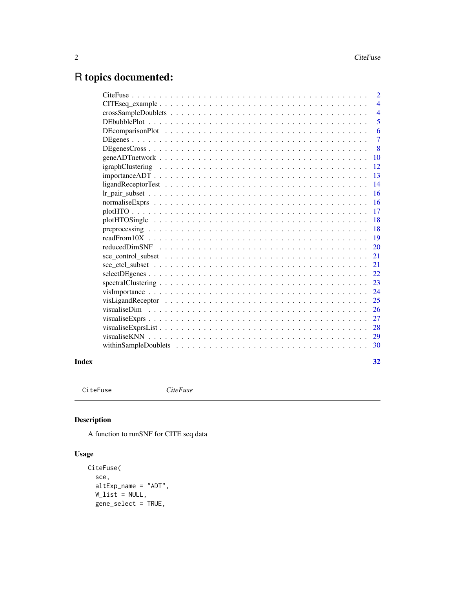# <span id="page-1-0"></span>R topics documented:

|                                                                                                            | $\overline{2}$ |
|------------------------------------------------------------------------------------------------------------|----------------|
|                                                                                                            | $\overline{4}$ |
|                                                                                                            | $\overline{4}$ |
|                                                                                                            | 5              |
|                                                                                                            | 6              |
|                                                                                                            | $\overline{7}$ |
|                                                                                                            | 8              |
|                                                                                                            | 10             |
|                                                                                                            | 12             |
| $importanceADT \ldots \ldots \ldots \ldots \ldots \ldots \ldots \ldots \ldots \ldots \ldots \ldots \ldots$ | 13             |
|                                                                                                            | 14             |
|                                                                                                            | 16             |
|                                                                                                            | 16             |
|                                                                                                            | 17             |
|                                                                                                            | 18             |
|                                                                                                            | 18             |
|                                                                                                            | 19             |
|                                                                                                            | 20             |
|                                                                                                            | 21             |
|                                                                                                            | 21             |
|                                                                                                            | 22             |
|                                                                                                            | 23             |
|                                                                                                            | 24             |
|                                                                                                            | 25             |
|                                                                                                            | 26             |
|                                                                                                            | 27             |
|                                                                                                            | 28             |
|                                                                                                            | 29             |
|                                                                                                            | 30             |
|                                                                                                            |                |

#### **Index** [32](#page-31-0)

CiteFuse *CiteFuse*

# Description

A function to runSNF for CITE seq data

# Usage

```
CiteFuse(
  sce,
  altExp_name = "ADT",W_{\text{list}} = NULL,gene_select = TRUE,
```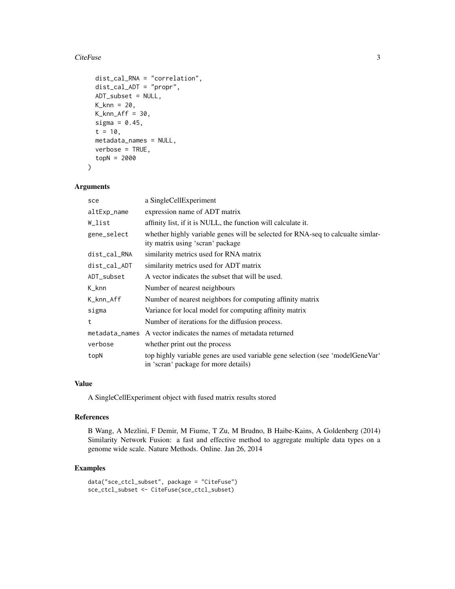#### CiteFuse 3

```
dist_cal_RNA = "correlation",
  dist_cal_ADT = "propr",
  ADT_subset = NULL,
  K_{\text{1}}knn = 20,
 K_knn_Aff = 30,
  sigma = 0.45,
  t = 10,
  metadata_names = NULL,
  verbose = TRUE,
  topN = 2000
\mathcal{L}
```
# Arguments

| sce                | a SingleCellExperiment                                                                                                 |
|--------------------|------------------------------------------------------------------------------------------------------------------------|
| altExp_name        | expression name of ADT matrix                                                                                          |
| W_list             | affinity list, if it is NULL, the function will calculate it.                                                          |
| gene_select        | whether highly variable genes will be selected for RNA-seq to calcualte similar-<br>ity matrix using 'scran' package   |
| dist_cal_RNA       | similarity metrics used for RNA matrix                                                                                 |
| dist_cal_ADT       | similarity metrics used for ADT matrix                                                                                 |
| ADT_subset         | A vector indicates the subset that will be used.                                                                       |
| $K_{\text{-}}$ knn | Number of nearest neighbours                                                                                           |
| K_knn_Aff          | Number of nearest neighbors for computing affinity matrix                                                              |
| sigma              | Variance for local model for computing affinity matrix                                                                 |
| t                  | Number of iterations for the diffusion process.                                                                        |
|                    | metadata_names A vector indicates the names of metadata returned                                                       |
| verbose            | whether print out the process                                                                                          |
| topN               | top highly variable genes are used variable gene selection (see 'modelGeneVar'<br>in 'scran' package for more details) |

# Value

A SingleCellExperiment object with fused matrix results stored

#### References

B Wang, A Mezlini, F Demir, M Fiume, T Zu, M Brudno, B Haibe-Kains, A Goldenberg (2014) Similarity Network Fusion: a fast and effective method to aggregate multiple data types on a genome wide scale. Nature Methods. Online. Jan 26, 2014

```
data("sce_ctcl_subset", package = "CiteFuse")
sce_ctcl_subset <- CiteFuse(sce_ctcl_subset)
```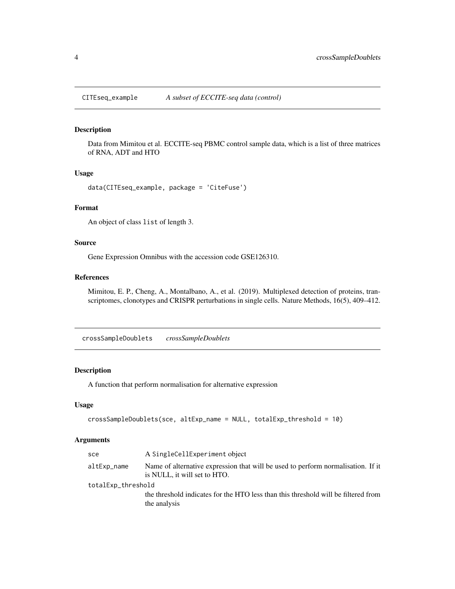<span id="page-3-0"></span>

#### Description

Data from Mimitou et al. ECCITE-seq PBMC control sample data, which is a list of three matrices of RNA, ADT and HTO

#### Usage

data(CITEseq\_example, package = 'CiteFuse')

#### Format

An object of class list of length 3.

# Source

Gene Expression Omnibus with the accession code GSE126310.

#### References

Mimitou, E. P., Cheng, A., Montalbano, A., et al. (2019). Multiplexed detection of proteins, transcriptomes, clonotypes and CRISPR perturbations in single cells. Nature Methods, 16(5), 409–412.

crossSampleDoublets *crossSampleDoublets*

### Description

A function that perform normalisation for alternative expression

#### Usage

```
crossSampleDoublets(sce, altExp_name = NULL, totalExp_threshold = 10)
```
#### Arguments

| sce                | A SingleCellExperiment object                                                                                    |  |
|--------------------|------------------------------------------------------------------------------------------------------------------|--|
| altExp_name        | Name of alternative expression that will be used to perform normalisation. If it<br>is NULL, it will set to HTO. |  |
| totalExp_threshold |                                                                                                                  |  |
|                    | the threshold indicates for the HTO less than this threshold will be filtered from<br>the analysis               |  |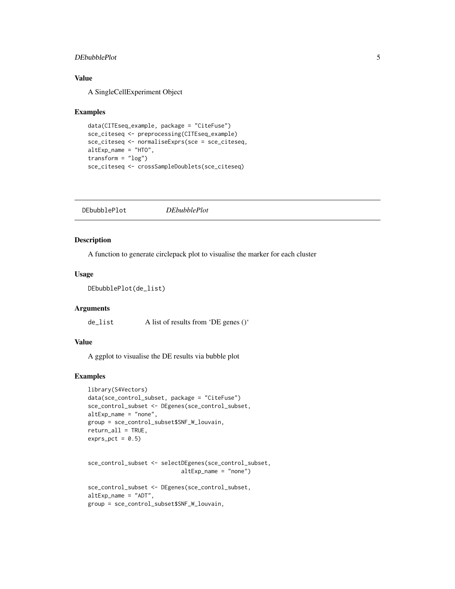#### <span id="page-4-0"></span>DEbubblePlot 5

#### Value

A SingleCellExperiment Object

#### Examples

```
data(CITEseq_example, package = "CiteFuse")
sce_citeseq <- preprocessing(CITEseq_example)
sce_citeseq <- normaliseExprs(sce = sce_citeseq,
altExp_name = "HTO",
transform = "log")sce_citeseq <- crossSampleDoublets(sce_citeseq)
```

| <i>DEbubblePlot</i> |
|---------------------|
|                     |

#### Description

A function to generate circlepack plot to visualise the marker for each cluster

# Usage

```
DEbubblePlot(de_list)
```
#### **Arguments**

de\_list A list of results from 'DE genes ()'

### Value

A ggplot to visualise the DE results via bubble plot

```
library(S4Vectors)
data(sce_control_subset, package = "CiteFuse")
sce_control_subset <- DEgenes(sce_control_subset,
altExp_name = "none",
group = sce_control_subset$SNF_W_louvain,
return_all = TRUE,
exprs_pct = 0.5
```

```
sce_control_subset <- selectDEgenes(sce_control_subset,
                            altExp_name = "none")
```

```
sce_control_subset <- DEgenes(sce_control_subset,
altExp_name = "ADT",
group = sce_control_subset$SNF_W_louvain,
```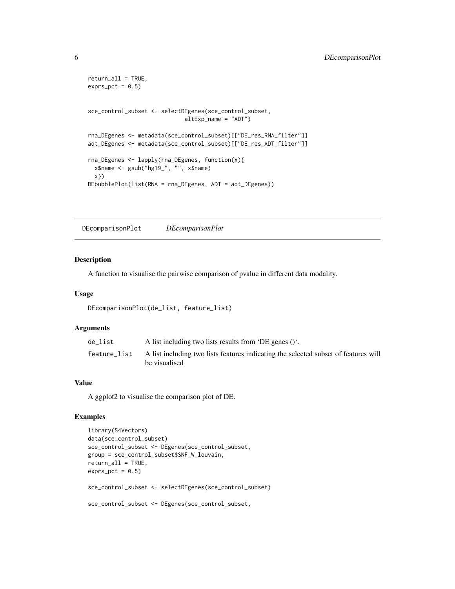```
return_all = TRUE,
exprs_pct = 0.5sce_control_subset <- selectDEgenes(sce_control_subset,
                            altExp_name = "ADT")
rna_DEgenes <- metadata(sce_control_subset)[["DE_res_RNA_filter"]]
adt_DEgenes <- metadata(sce_control_subset)[["DE_res_ADT_filter"]]
rna_DEgenes <- lapply(rna_DEgenes, function(x){
 x$name <- gsub("hg19_", "", x$name)
 x})
DEbubblePlot(list(RNA = rna_DEgenes, ADT = adt_DEgenes))
```
DEcomparisonPlot *DEcomparisonPlot*

### Description

A function to visualise the pairwise comparison of pvalue in different data modality.

#### Usage

```
DEcomparisonPlot(de_list, feature_list)
```
#### **Arguments**

| de list      | A list including two lists results from 'DE genes $()$ '.                                            |
|--------------|------------------------------------------------------------------------------------------------------|
| feature_list | A list including two lists features indicating the selected subset of features will<br>be visualised |

#### Value

A ggplot2 to visualise the comparison plot of DE.

```
library(S4Vectors)
data(sce_control_subset)
sce_control_subset <- DEgenes(sce_control_subset,
group = sce_control_subset$SNF_W_louvain,
return_all = TRUE,
exprs_pct = 0.5)
sce_control_subset <- selectDEgenes(sce_control_subset)
sce_control_subset <- DEgenes(sce_control_subset,
```
<span id="page-5-0"></span>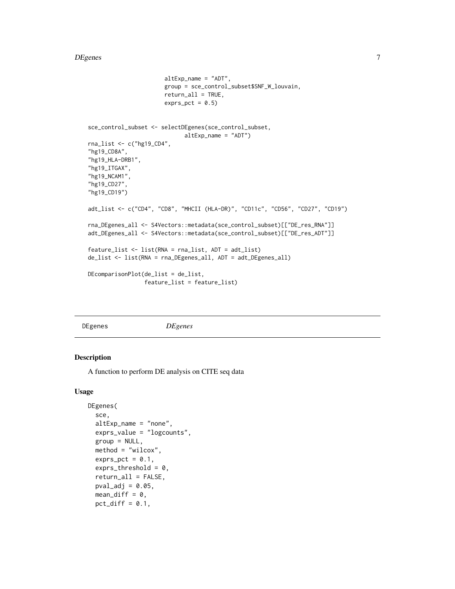#### <span id="page-6-0"></span>DEgenes 7

```
altExp_name = "ADT",
                       group = sce_control_subset$SNF_W_louvain,
                       return_all = TRUE,
                       exprs_pct = 0.5)
sce_control_subset <- selectDEgenes(sce_control_subset,
                             altExp_name = "ADT")
rna_list <- c("hg19_CD4",
"hg19_CD8A",
"hg19_HLA-DRB1",
"hg19_ITGAX",
"hg19_NCAM1",
"hg19_CD27",
"hg19_CD19")
adt_list <- c("CD4", "CD8", "MHCII (HLA-DR)", "CD11c", "CD56", "CD27", "CD19")
rna_DEgenes_all <- S4Vectors::metadata(sce_control_subset)[["DE_res_RNA"]]
adt_DEgenes_all <- S4Vectors::metadata(sce_control_subset)[["DE_res_ADT"]]
feature_list <- list(RNA = rna_list, ADT = adt_list)
de_list <- list(RNA = rna_DEgenes_all, ADT = adt_DEgenes_all)
DEcomparisonPlot(de_list = de_list,
                 feature_list = feature_list)
```
DEgenes *DEgenes*

#### Description

A function to perform DE analysis on CITE seq data

#### Usage

```
DEgenes(
  sce,
  altExp_name = "none",
 exprs_value = "logcounts",
 group = NULL,method = "wilcox",
  exprs_pct = 0.1,
  exprs_{\text{th}}reshold = 0,
  return_all = FALSE,
 pval\_adj = 0.05,
 mean\_diff = 0,
 pct_diff = 0.1,
```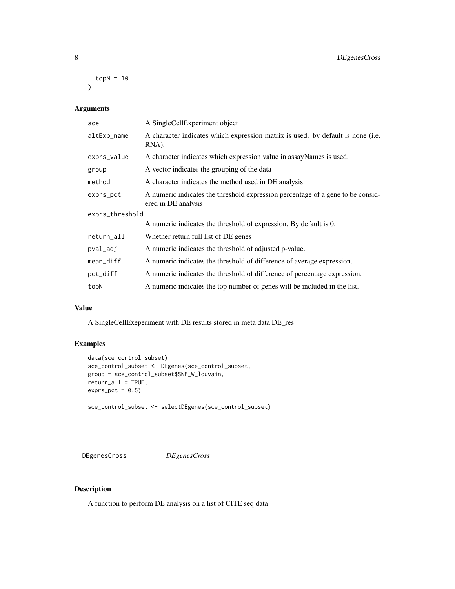<span id="page-7-0"></span> $topN = 10$  $\mathcal{L}$ 

# Arguments

| sce             | A SingleCellExperiment object                                                                          |  |
|-----------------|--------------------------------------------------------------------------------------------------------|--|
| altExp_name     | A character indicates which expression matrix is used. by default is none (i.e.<br>RNA).               |  |
| exprs_value     | A character indicates which expression value in assayNames is used.                                    |  |
| group           | A vector indicates the grouping of the data                                                            |  |
| method          | A character indicates the method used in DE analysis                                                   |  |
| exprs_pct       | A numeric indicates the threshold expression percentage of a gene to be consid-<br>ered in DE analysis |  |
| exprs_threshold |                                                                                                        |  |
|                 | A numeric indicates the threshold of expression. By default is 0.                                      |  |
| return_all      | Whether return full list of DE genes                                                                   |  |
| pval_adj        | A numeric indicates the threshold of adjusted p-value.                                                 |  |
| mean_diff       | A numeric indicates the threshold of difference of average expression.                                 |  |
| pct_diff        | A numeric indicates the threshold of difference of percentage expression.                              |  |
| topN            | A numeric indicates the top number of genes will be included in the list.                              |  |
|                 |                                                                                                        |  |

# Value

A SingleCellExeperiment with DE results stored in meta data DE\_res

# Examples

```
data(sce_control_subset)
sce_control_subset <- DEgenes(sce_control_subset,
group = sce_control_subset$SNF_W_louvain,
return_all = TRUE,
exprs_pct = 0.5)
sce_control_subset <- selectDEgenes(sce_control_subset)
```
DEgenesCross *DEgenesCross*

# Description

A function to perform DE analysis on a list of CITE seq data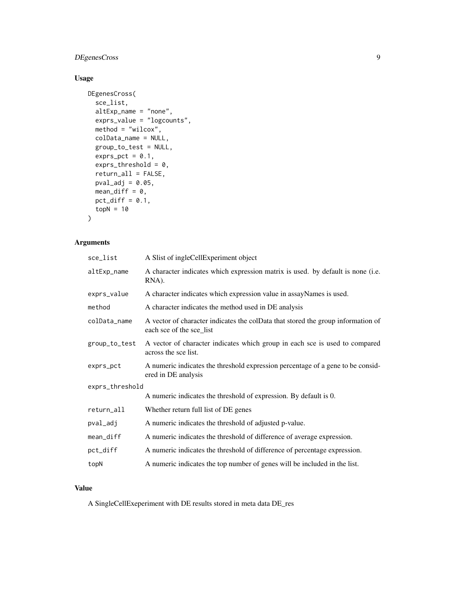# DEgenesCross 9

# Usage

```
DEgenesCross(
  sce_list,
  altExp_name = "none",
 exprs_value = "logcounts",
 method = "wilcox",
 colData_name = NULL,
 group_to_test = NULL,
 exprs_pct = 0.1,
 exprs_threshold = 0,
  return_all = FALSE,
 pval\_adj = 0.05,
 mean\_diff = 0,
 pct_diff = 0.1,
 topN = 10\mathcal{L}
```
# Arguments

| sce_list        | A Slist of ingleCellExperiment object                                                                        |  |
|-----------------|--------------------------------------------------------------------------------------------------------------|--|
| altExp_name     | A character indicates which expression matrix is used. by default is none (i.e.<br>RNA).                     |  |
| exprs_value     | A character indicates which expression value in assayNames is used.                                          |  |
| method          | A character indicates the method used in DE analysis                                                         |  |
| colData_name    | A vector of character indicates the colData that stored the group information of<br>each sce of the sce_list |  |
| group_to_test   | A vector of character indicates which group in each sce is used to compared<br>across the sce list.          |  |
| exprs_pct       | A numeric indicates the threshold expression percentage of a gene to be consid-<br>ered in DE analysis       |  |
| exprs_threshold |                                                                                                              |  |
|                 | A numeric indicates the threshold of expression. By default is 0.                                            |  |
| return_all      | Whether return full list of DE genes                                                                         |  |
| pval_adj        | A numeric indicates the threshold of adjusted p-value.                                                       |  |
| mean_diff       | A numeric indicates the threshold of difference of average expression.                                       |  |
| pct_diff        | A numeric indicates the threshold of difference of percentage expression.                                    |  |
| topN            | A numeric indicates the top number of genes will be included in the list.                                    |  |

# Value

A SingleCellExeperiment with DE results stored in meta data DE\_res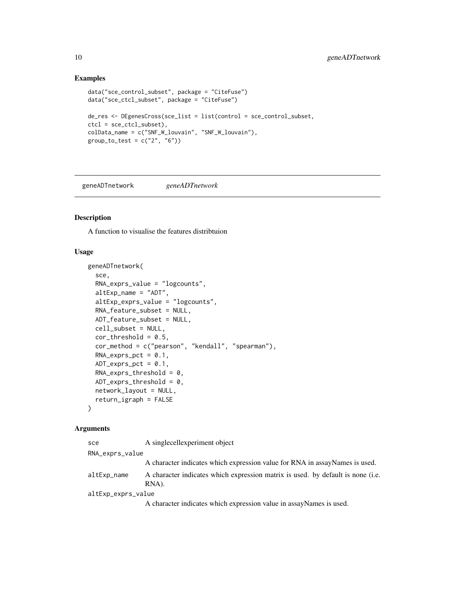# Examples

```
data("sce_control_subset", package = "CiteFuse")
data("sce_ctcl_subset", package = "CiteFuse")
de_res <- DEgenesCross(sce_list = list(control = sce_control_subset,
ctcl = sce_ctcl_subset),
colData_name = c("SNF_W_louvain", "SNF_W_louvain"),
group_to_test = c("2", "6")
```
geneADTnetwork *geneADTnetwork*

#### Description

A function to visualise the features distribtuion

#### Usage

```
geneADTnetwork(
  sce,
  RNA_exprs_value = "logcounts",
  altExp_name = "ADT",
  altExp_exprs_value = "logcounts",
  RNA_feature_subset = NULL,
  ADT_feature_subset = NULL,
  cell_subset = NULL,
  cor_{threshold} = 0.5,
  cor_method = c("pearson", "kendall", "spearman"),
  RNA\_express\_pot = 0.1,
  ADT_exprs_pct = 0.1,
  RNA\_express\_threshold = 0,
 ADT_{exprs_{th}}rhreshold = 0,
 network_layout = NULL,
  return_igraph = FALSE
\lambda
```
# Arguments

| sce                | A singlecellexperiment object                                                            |  |
|--------------------|------------------------------------------------------------------------------------------|--|
| RNA_exprs_value    |                                                                                          |  |
|                    | A character indicates which expression value for RNA in assayNames is used.              |  |
| altExp_name        | A character indicates which expression matrix is used. by default is none (i.e.<br>RNA). |  |
| altExp_exprs_value |                                                                                          |  |
|                    | A character indicates which expression value in assayNames is used.                      |  |

<span id="page-9-0"></span>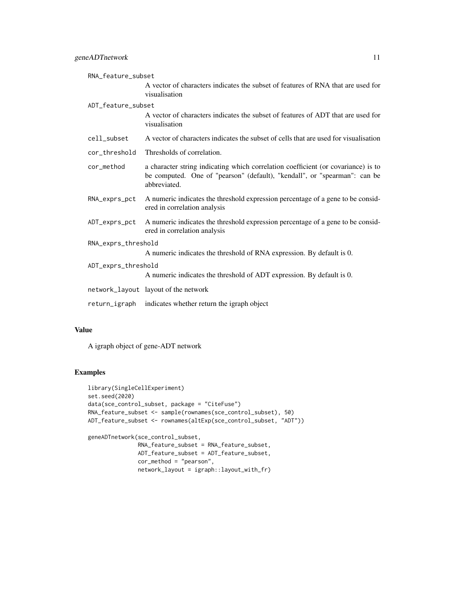|                     | RNA_feature_subset |                                                                                                                                                                                |
|---------------------|--------------------|--------------------------------------------------------------------------------------------------------------------------------------------------------------------------------|
|                     |                    | A vector of characters indicates the subset of features of RNA that are used for<br>visualisation                                                                              |
|                     | ADT_feature_subset |                                                                                                                                                                                |
|                     |                    | A vector of characters indicates the subset of features of ADT that are used for<br>visualisation                                                                              |
|                     | cell_subset        | A vector of characters indicates the subset of cells that are used for visualisation                                                                                           |
|                     | cor_threshold      | Thresholds of correlation.                                                                                                                                                     |
|                     | cor_method         | a character string indicating which correlation coefficient (or covariance) is to<br>be computed. One of "pearson" (default), "kendall", or "spearman": can be<br>abbreviated. |
|                     | RNA_exprs_pct      | A numeric indicates the threshold expression percentage of a gene to be consid-<br>ered in correlation analysis                                                                |
|                     | ADT_exprs_pct      | A numeric indicates the threshold expression percentage of a gene to be consid-<br>ered in correlation analysis                                                                |
| RNA_exprs_threshold |                    |                                                                                                                                                                                |
|                     |                    | A numeric indicates the threshold of RNA expression. By default is 0.                                                                                                          |
| ADT_exprs_threshold |                    |                                                                                                                                                                                |
|                     |                    | A numeric indicates the threshold of ADT expression. By default is 0.                                                                                                          |
|                     |                    | network_layout layout of the network                                                                                                                                           |
|                     | return_igraph      | indicates whether return the igraph object                                                                                                                                     |
|                     |                    |                                                                                                                                                                                |

#### Value

A igraph object of gene-ADT network

```
library(SingleCellExperiment)
set.seed(2020)
data(sce_control_subset, package = "CiteFuse")
RNA_feature_subset <- sample(rownames(sce_control_subset), 50)
ADT_feature_subset <- rownames(altExp(sce_control_subset, "ADT"))
geneADTnetwork(sce_control_subset,
              RNA_feature_subset = RNA_feature_subset,
              ADT_feature_subset = ADT_feature_subset,
              cor_method = "pearson",
              network_layout = igraph::layout_with_fr)
```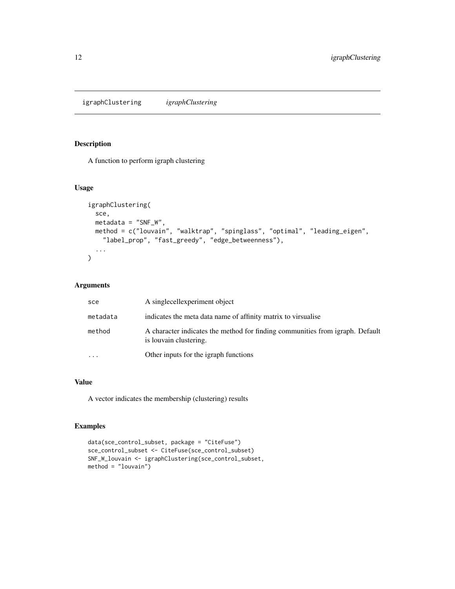<span id="page-11-0"></span>igraphClustering *igraphClustering*

#### Description

A function to perform igraph clustering

# Usage

```
igraphClustering(
  sce,
 metadata = "SNF_W",
 method = c("louvain", "walktrap", "spinglass", "optimal", "leading_eigen",
    "label_prop", "fast_greedy", "edge_betweenness"),
  ...
)
```
# Arguments

| sce      | A singlecellexperiment object                                                                           |
|----------|---------------------------------------------------------------------------------------------------------|
| metadata | indicates the meta data name of affinity matrix to virsualise                                           |
| method   | A character indicates the method for finding communities from igraph. Default<br>is louvain clustering. |
|          | Other inputs for the igraph functions                                                                   |

# Value

A vector indicates the membership (clustering) results

```
data(sce_control_subset, package = "CiteFuse")
sce_control_subset <- CiteFuse(sce_control_subset)
SNF_W_louvain <- igraphClustering(sce_control_subset,
method = "louvain")
```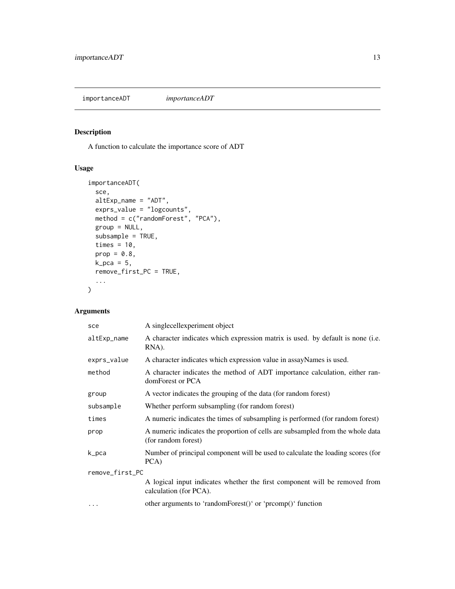<span id="page-12-0"></span>importanceADT *importanceADT*

# Description

A function to calculate the importance score of ADT

# Usage

```
importanceADT(
  sce,
 altExp_name = "ADT",
 exprs_value = "logcounts",
 method = c("randomForest", "PCA"),
 group = NULL,
  subsample = TRUE,
  times = 10,
 prop = 0.8,
 k_pca = 5,
 remove_first_PC = TRUE,
  ...
)
```
# Arguments

| sce             | A singlecellexperiment object                                                                         |  |
|-----------------|-------------------------------------------------------------------------------------------------------|--|
| altExp_name     | A character indicates which expression matrix is used. by default is none (i.e.<br>RNA).              |  |
| exprs_value     | A character indicates which expression value in assayNames is used.                                   |  |
| method          | A character indicates the method of ADT importance calculation, either ran-<br>domForest or PCA       |  |
| group           | A vector indicates the grouping of the data (for random forest)                                       |  |
| subsample       | Whether perform subsampling (for random forest)                                                       |  |
| times           | A numeric indicates the times of subsampling is performed (for random forest)                         |  |
| prop            | A numeric indicates the proportion of cells are subsampled from the whole data<br>(for random forest) |  |
| k_pca           | Number of principal component will be used to calculate the loading scores (for<br>PCA)               |  |
| remove_first_PC |                                                                                                       |  |
|                 | A logical input indicates whether the first component will be removed from<br>calculation (for PCA).  |  |
| $\ddotsc$       | other arguments to 'randomForest()' or 'prcomp()' function                                            |  |
|                 |                                                                                                       |  |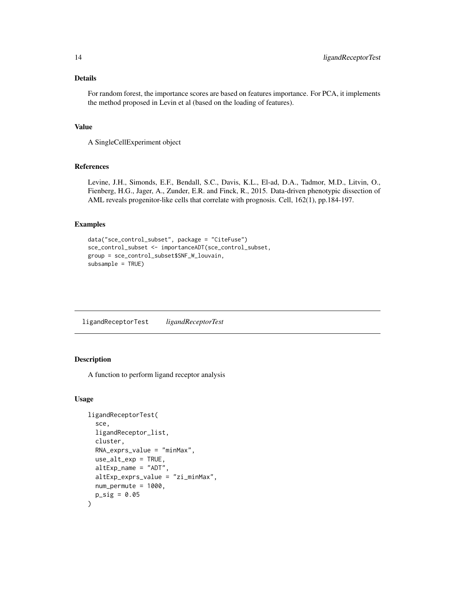#### <span id="page-13-0"></span>Details

For random forest, the importance scores are based on features importance. For PCA, it implements the method proposed in Levin et al (based on the loading of features).

#### Value

A SingleCellExperiment object

#### References

Levine, J.H., Simonds, E.F., Bendall, S.C., Davis, K.L., El-ad, D.A., Tadmor, M.D., Litvin, O., Fienberg, H.G., Jager, A., Zunder, E.R. and Finck, R., 2015. Data-driven phenotypic dissection of AML reveals progenitor-like cells that correlate with prognosis. Cell, 162(1), pp.184-197.

# Examples

```
data("sce_control_subset", package = "CiteFuse")
sce_control_subset <- importanceADT(sce_control_subset,
group = sce_control_subset$SNF_W_louvain,
subsample = TRUE)
```
ligandReceptorTest *ligandReceptorTest*

#### Description

A function to perform ligand receptor analysis

#### Usage

```
ligandReceptorTest(
  sce,
  ligandReceptor_list,
  cluster,
 RNA_exprs_value = "minMax",
 use_alt_exp = TRUE,
  altExp_name = "ADT",
  altExp_exprs_value = "zi_minMax",
 num_permute = 1000,
 p\_sig = 0.05\mathcal{E}
```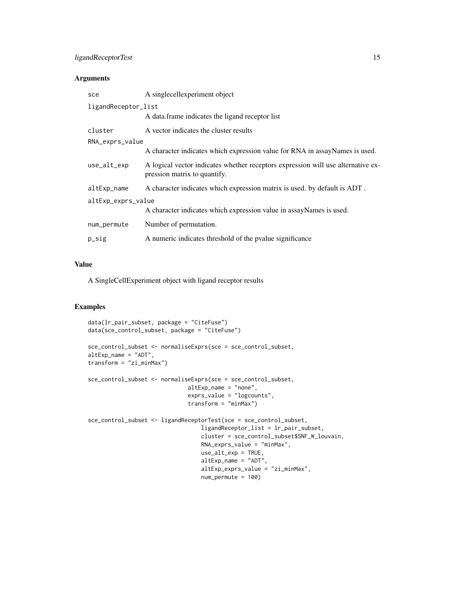# ligandReceptorTest 15

### Arguments

| sce                 | A singlecellexperiment object                                                                                    |  |
|---------------------|------------------------------------------------------------------------------------------------------------------|--|
| ligandReceptor_list |                                                                                                                  |  |
|                     | A data frame indicates the ligand receptor list                                                                  |  |
| cluster             | A vector indicates the cluster results                                                                           |  |
| RNA_exprs_value     |                                                                                                                  |  |
|                     | A character indicates which expression value for RNA in assayNames is used.                                      |  |
| $use_alt_exp$       | A logical vector indicates whether receptors expression will use alternative ex-<br>pression matrix to quantify. |  |
| altExp_name         | A character indicates which expression matrix is used. by default is ADT.                                        |  |
| altExp_exprs_value  |                                                                                                                  |  |
|                     | A character indicates which expression value in assayNames is used.                                              |  |
| num_permute         | Number of permutation.                                                                                           |  |
| $p\_sig$            | A numeric indicates threshold of the pvalue significance                                                         |  |

#### Value

A SingleCellExperiment object with ligand receptor results

```
data(lr_pair_subset, package = "CiteFuse")
data(sce_control_subset, package = "CiteFuse")
sce_control_subset <- normaliseExprs(sce = sce_control_subset,
altExp_name = "ADT",
transform = "zi_minMax")
sce_control_subset <- normaliseExprs(sce = sce_control_subset,
                              altExp_name = "none",
                              exprs_value = "logcounts",
                              transform = "minMax")
sce_control_subset <- ligandReceptorTest(sce = sce_control_subset,
                                  ligandReceptor_list = lr_pair_subset,
                                  cluster = sce_control_subset$SNF_W_louvain,
                                  RNA_exprs_value = "minMax",
                                  use_alt_exp = TRUE,
                                  altExp_name = "ADT",
                                  altExp_exprs_value = "zi_minMax",
                                  num_permute = 100)
```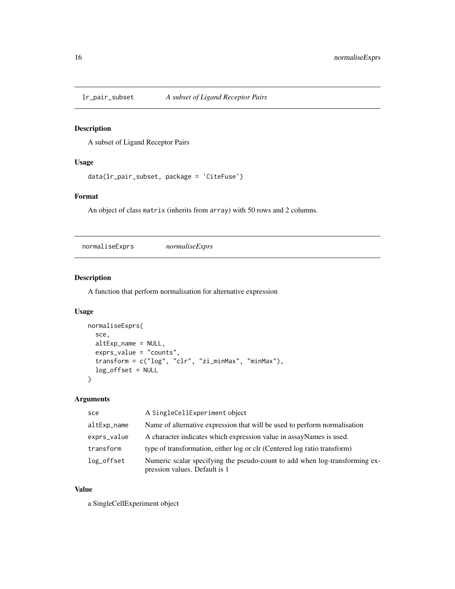<span id="page-15-0"></span>

# Description

A subset of Ligand Receptor Pairs

# Usage

```
data(lr_pair_subset, package = 'CiteFuse')
```
# Format

An object of class matrix (inherits from array) with 50 rows and 2 columns.

normaliseExprs *normaliseExprs*

# Description

A function that perform normalisation for alternative expression

#### Usage

```
normaliseExprs(
  sce,
  altExp_name = NULL,
 exprs_value = "counts",
  transform = c("log", "clr", "zi_minMax", "minMax"),
  log_offset = NULL
)
```
# Arguments

| sce         | A SingleCellExperiment object                                                                                |
|-------------|--------------------------------------------------------------------------------------------------------------|
| altExp_name | Name of alternative expression that will be used to perform normalisation                                    |
| exprs_value | A character indicates which expression value in assayNames is used.                                          |
| transform   | type of transformation, either log or clr (Centered log ratio transform)                                     |
| log_offset  | Numeric scalar specifying the pseudo-count to add when log-transforming ex-<br>pression values. Default is 1 |

#### Value

a SingleCellExperiment object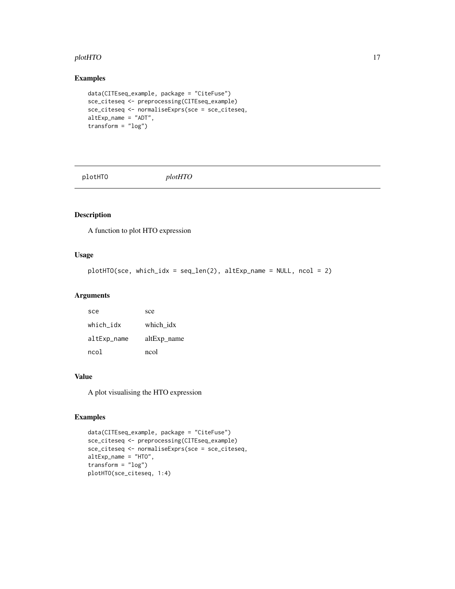#### <span id="page-16-0"></span>plotHTO and the state of the state of the state of the state of the state of the state of the state of the state of the state of the state of the state of the state of the state of the state of the state of the state of th

# Examples

```
data(CITEseq_example, package = "CiteFuse")
sce_citeseq <- preprocessing(CITEseq_example)
sce_citeseq <- normaliseExprs(sce = sce_citeseq,
altExp_name = "ADT",
transform = "log")
```
plotHTO *plotHTO*

# Description

A function to plot HTO expression

#### Usage

```
plotHTO(sce, which_idx = seq_length(2), altExp_name = NULL, ncol = 2)
```
#### Arguments

| sce         | sce         |
|-------------|-------------|
| which idx   | which idx   |
| altExp_name | altExp_name |
| ncol        | ncol        |

#### Value

A plot visualising the HTO expression

```
data(CITEseq_example, package = "CiteFuse")
sce_citeseq <- preprocessing(CITEseq_example)
sce_citeseq <- normaliseExprs(sce = sce_citeseq,
altExp_name = "HTO",
transform = "log")plotHTO(sce_citeseq, 1:4)
```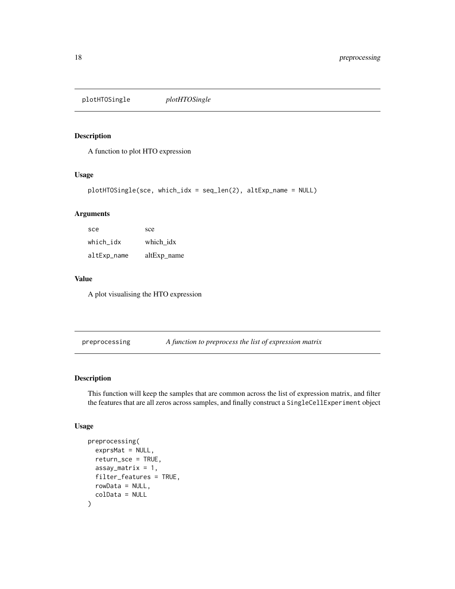<span id="page-17-0"></span>plotHTOSingle *plotHTOSingle*

#### Description

A function to plot HTO expression

#### Usage

```
plotHTOSingle(sce, which_idx = seq_len(2), altExp_name = NULL)
```
### Arguments

| sce         | sce         |
|-------------|-------------|
| which idx   | which idx   |
| altExp_name | altExp name |

#### Value

A plot visualising the HTO expression

preprocessing *A function to preprocess the list of expression matrix*

#### Description

This function will keep the samples that are common across the list of expression matrix, and filter the features that are all zeros across samples, and finally construct a SingleCellExperiment object

# Usage

```
preprocessing(
  exprsMat = NULL,
  return_sce = TRUE,
  assay_matrix = 1,
  filter_features = TRUE,
  rowData = NULL,
  colData = NULL
\mathcal{E}
```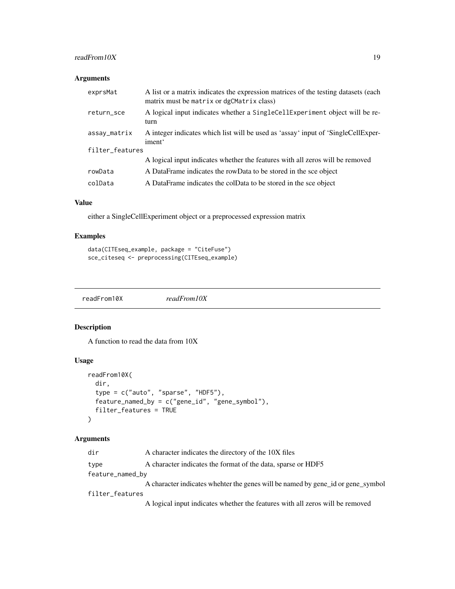# <span id="page-18-0"></span>readFrom10X 19

# Arguments

| exprsMat        | A list or a matrix indicates the expression matrices of the testing datasets (each<br>matrix must be matrix or dgCMatrix class) |  |
|-----------------|---------------------------------------------------------------------------------------------------------------------------------|--|
| return_sce      | A logical input indicates whether a SingleCellExperiment object will be re-<br>turn                                             |  |
| assay_matrix    | A integer indicates which list will be used as 'assay' input of 'SingleCellExper-<br>iment <sup>'</sup>                         |  |
| filter_features |                                                                                                                                 |  |
|                 | A logical input indicates whether the features with all zeros will be removed                                                   |  |
| rowData         | A DataFrame indicates the rowData to be stored in the sce object                                                                |  |
| colData         | A DataFrame indicates the colData to be stored in the sce object                                                                |  |
|                 |                                                                                                                                 |  |

#### Value

either a SingleCellExperiment object or a preprocessed expression matrix

# Examples

```
data(CITEseq_example, package = "CiteFuse")
sce_citeseq <- preprocessing(CITEseq_example)
```
readFrom10X *readFrom10X*

# Description

A function to read the data from 10X

# Usage

```
readFrom10X(
  dir,
  type = c("auto", "sparse", "HDF5"),
  feature_named_by = c("gene_id", "gene_symbol"),
  filter_features = TRUE
\mathcal{L}
```
# Arguments

| dir              | A character indicates the directory of the 10X files                            |
|------------------|---------------------------------------------------------------------------------|
| type             | A character indicates the format of the data, sparse or HDF5                    |
| feature_named_by |                                                                                 |
|                  | A character indicates whether the genes will be named by gene id or gene symbol |
| filter_features  |                                                                                 |
|                  | A logical input indicates whether the features with all zeros will be removed   |
|                  |                                                                                 |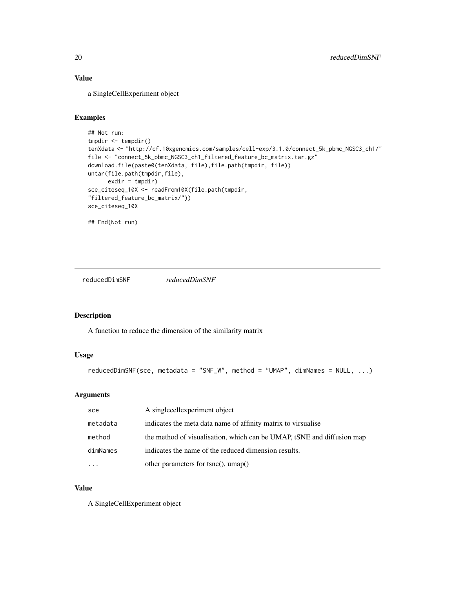# <span id="page-19-0"></span>Value

a SingleCellExperiment object

#### Examples

```
## Not run:
tmpdir <- tempdir()
tenXdata <- "http://cf.10xgenomics.com/samples/cell-exp/3.1.0/connect_5k_pbmc_NGSC3_ch1/"
file <- "connect_5k_pbmc_NGSC3_ch1_filtered_feature_bc_matrix.tar.gz"
download.file(paste0(tenXdata, file),file.path(tmpdir, file))
untar(file.path(tmpdir,file),
      exdir = tmpdir)
sce_citeseq_10X <- readFrom10X(file.path(tmpdir,
"filtered_feature_bc_matrix/"))
sce_citeseq_10X
## End(Not run)
```
reducedDimSNF *reducedDimSNF*

#### Description

A function to reduce the dimension of the similarity matrix

# Usage

```
reducedDimSNF(sce, metadata = "SNF_W", method = "UMAP", dimNames = NULL, ...)
```
#### Arguments

| sce      | A singlecellexperiment object                                          |
|----------|------------------------------------------------------------------------|
| metadata | indicates the meta data name of affinity matrix to virsualise          |
| method   | the method of visualisation, which can be UMAP, tSNE and diffusion map |
| dimNames | indicates the name of the reduced dimension results.                   |
| $\cdots$ | other parameters for tsne(), umap()                                    |

# Value

A SingleCellExperiment object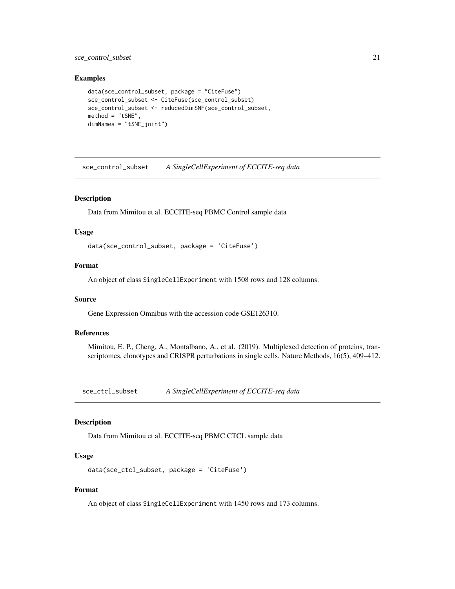<span id="page-20-0"></span>sce\_control\_subset 21

#### Examples

```
data(sce_control_subset, package = "CiteFuse")
sce_control_subset <- CiteFuse(sce_control_subset)
sce_control_subset <- reducedDimSNF(sce_control_subset,
method = "tSNE".dimNames = "tSNE_joint")
```
sce\_control\_subset *A SingleCellExperiment of ECCITE-seq data*

#### Description

Data from Mimitou et al. ECCITE-seq PBMC Control sample data

#### Usage

data(sce\_control\_subset, package = 'CiteFuse')

# Format

An object of class SingleCellExperiment with 1508 rows and 128 columns.

#### Source

Gene Expression Omnibus with the accession code GSE126310.

#### References

Mimitou, E. P., Cheng, A., Montalbano, A., et al. (2019). Multiplexed detection of proteins, transcriptomes, clonotypes and CRISPR perturbations in single cells. Nature Methods, 16(5), 409–412.

sce\_ctcl\_subset *A SingleCellExperiment of ECCITE-seq data*

#### Description

Data from Mimitou et al. ECCITE-seq PBMC CTCL sample data

#### Usage

```
data(sce_ctcl_subset, package = 'CiteFuse')
```
### Format

An object of class SingleCellExperiment with 1450 rows and 173 columns.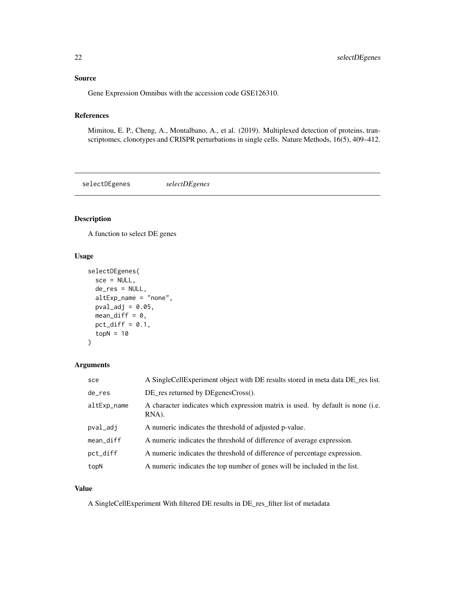# <span id="page-21-0"></span>Source

Gene Expression Omnibus with the accession code GSE126310.

# References

Mimitou, E. P., Cheng, A., Montalbano, A., et al. (2019). Multiplexed detection of proteins, transcriptomes, clonotypes and CRISPR perturbations in single cells. Nature Methods, 16(5), 409–412.

selectDEgenes *selectDEgenes*

# Description

A function to select DE genes

#### Usage

```
selectDEgenes(
  sec = NULL,de_res = NULL,
  altExp_name = "none",
 pval\_adj = 0.05,
 mean_diff = 0,
 pct_diff = 0.1,
  topN = 10)
```
# Arguments

| sce         | A SingleCellExperiment object with DE results stored in meta data DE_res list.           |
|-------------|------------------------------------------------------------------------------------------|
| de_res      | DE_res returned by DEgenesCross().                                                       |
| altExp_name | A character indicates which expression matrix is used. by default is none (i.e.<br>RNA). |
| pval_adj    | A numeric indicates the threshold of adjusted p-value.                                   |
| mean_diff   | A numeric indicates the threshold of difference of average expression.                   |
| pct_diff    | A numeric indicates the threshold of difference of percentage expression.                |
| topN        | A numeric indicates the top number of genes will be included in the list.                |

#### Value

A SingleCellExperiment With filtered DE results in DE\_res\_filter list of metadata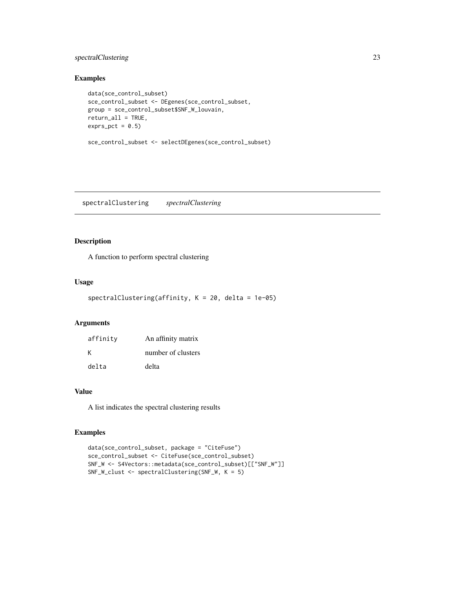# <span id="page-22-0"></span>spectralClustering 23

### Examples

```
data(sce_control_subset)
sce_control_subset <- DEgenes(sce_control_subset,
group = sce_control_subset$SNF_W_louvain,
return_all = TRUE,
exprs_pct = 0.5sce_control_subset <- selectDEgenes(sce_control_subset)
```
spectralClustering *spectralClustering*

# Description

A function to perform spectral clustering

#### Usage

```
spectralClustering(affinity, K = 20, delta = 1e-05)
```
# Arguments

| affinity | An affinity matrix |
|----------|--------------------|
| к        | number of clusters |
| delta    | delta              |

#### Value

A list indicates the spectral clustering results

```
data(sce_control_subset, package = "CiteFuse")
sce_control_subset <- CiteFuse(sce_control_subset)
SNF_W <- S4Vectors::metadata(sce_control_subset)[["SNF_W"]]
SNF_W_clust <- spectralClustering(SNF_W, K = 5)
```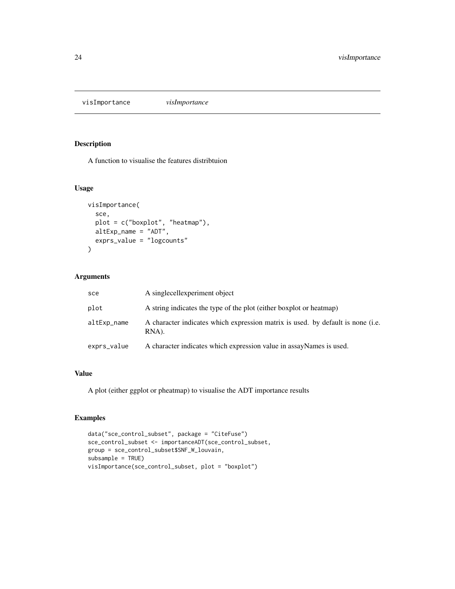<span id="page-23-0"></span>visImportance *visImportance*

# Description

A function to visualise the features distribtuion

# Usage

```
visImportance(
  sce,
  plot = c("boxplot", "heatmap"),
  altExp_name = "ADT",
  exprs_value = "logcounts"
\mathcal{E}
```
#### Arguments

| sce         | A singlecellexperiment object                                                            |
|-------------|------------------------------------------------------------------------------------------|
| plot        | A string indicates the type of the plot (either boxplot or heatmap)                      |
| altExp_name | A character indicates which expression matrix is used. by default is none (i.e.<br>RNA). |
| exprs_value | A character indicates which expression value in assayNames is used.                      |

#### Value

A plot (either ggplot or pheatmap) to visualise the ADT importance results

```
data("sce_control_subset", package = "CiteFuse")
sce_control_subset <- importanceADT(sce_control_subset,
group = sce_control_subset$SNF_W_louvain,
subsample = TRUE)
visImportance(sce_control_subset, plot = "boxplot")
```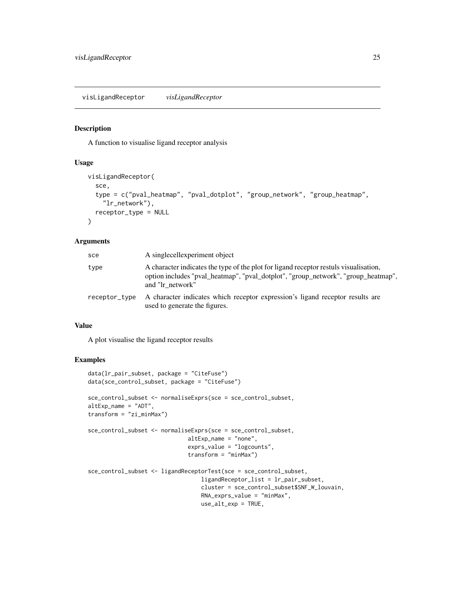<span id="page-24-0"></span>visLigandReceptor *visLigandReceptor*

#### Description

A function to visualise ligand receptor analysis

#### Usage

```
visLigandReceptor(
  sce,
  type = c("pval_heatmap", "pval_dotplot", "group_network", "group_heatmap",
    "lr_network"),
  receptor_type = NULL
)
```
#### Arguments

| sce           | A singlecellexperiment object                                                                                                                                                                  |
|---------------|------------------------------------------------------------------------------------------------------------------------------------------------------------------------------------------------|
| type          | A character indicates the type of the plot for ligand receptor restuls visualisation,<br>option includes "pval_heatmap", "pval_dotplot", "group_network", "group_heatmap",<br>and "Ir network" |
| receptor_type | A character indicates which receptor expression's ligand receptor results are<br>used to generate the figures.                                                                                 |

#### Value

A plot visualise the ligand receptor results

```
data(lr_pair_subset, package = "CiteFuse")
data(sce_control_subset, package = "CiteFuse")
sce_control_subset <- normaliseExprs(sce = sce_control_subset,
altExp_name = "ADT",
transform = "zi_minMax")
sce_control_subset <- normaliseExprs(sce = sce_control_subset,
                              altExp_name = "none",
                              exprs_value = "logcounts",
                              transform = "minMax")
sce_control_subset <- ligandReceptorTest(sce = sce_control_subset,
                                  ligandReceptor_list = lr_pair_subset,
                                  cluster = sce_control_subset$SNF_W_louvain,
                                  RNA_exprs_value = "minMax",
                                  use_alt_exp = TRUE,
```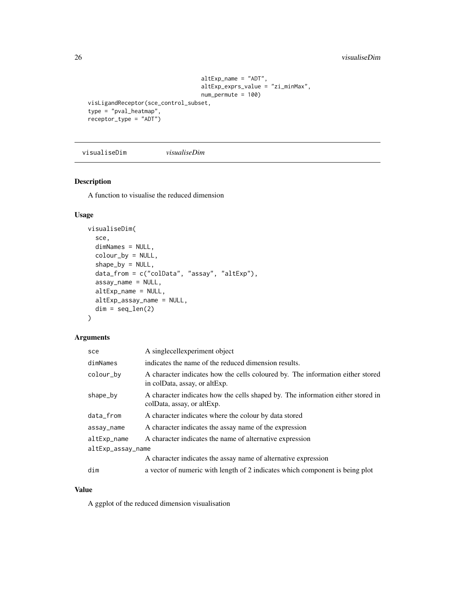```
altExp_name = "ADT",
                                  altExp_exprs_value = "zi_minMax",
                                  num_permute = 100)
visLigandReceptor(sce_control_subset,
type = "pval_heatmap",
receptor_type = "ADT")
```
visualiseDim *visualiseDim*

#### Description

A function to visualise the reduced dimension

# Usage

```
visualiseDim(
  sce,
  dimNames = NULL,
  colour_by = NULL,
  shape_by = NULL,data_from = c("colData", "assay", "altExp"),
  assay_name = NULL,
  altExp_name = NULL,
 altExp_assay_name = NULL,
 dim = seq\_len(2))
```
#### Arguments

| sce               | A singlecellexperiment object                                                                                   |
|-------------------|-----------------------------------------------------------------------------------------------------------------|
| dimNames          | indicates the name of the reduced dimension results.                                                            |
| colour_by         | A character indicates how the cells coloured by. The information either stored<br>in colData, assay, or altExp. |
| shape_by          | A character indicates how the cells shaped by. The information either stored in<br>colData, assay, or altExp.   |
| data_from         | A character indicates where the colour by data stored                                                           |
| assay_name        | A character indicates the assay name of the expression                                                          |
| altExp_name       | A character indicates the name of alternative expression                                                        |
| altExp_assay_name |                                                                                                                 |
|                   | A character indicates the assay name of alternative expression                                                  |
| dim               | a vector of numeric with length of 2 indicates which component is being plot                                    |

#### Value

A ggplot of the reduced dimension visualisation

<span id="page-25-0"></span>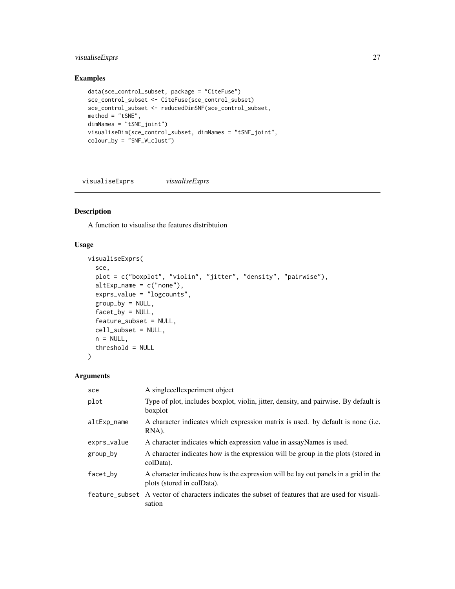# <span id="page-26-0"></span>visualiseExprs 27

# Examples

```
data(sce_control_subset, package = "CiteFuse")
sce_control_subset <- CiteFuse(sce_control_subset)
sce_control_subset <- reducedDimSNF(sce_control_subset,
method = "tSNE",dimNames = "tSNE_joint")
visualiseDim(sce_control_subset, dimNames = "tSNE_joint",
colour_by = "SNF_W_clust")
```
visualiseExprs *visualiseExprs*

# Description

A function to visualise the features distribtuion

# Usage

```
visualiseExprs(
  sce,
  plot = c("boxplot", "violin", "jitter", "density", "pairwise"),
 altExp_name = c("none"),
  exprs_value = "logcounts",
  group_by = NULL,factor_by = NULL,feature_subset = NULL,
  cell_subset = NULL,
 n = NULL,threshold = NULL
\mathcal{L}
```
# Arguments

| sce         | A singlecellexperiment object                                                                                     |
|-------------|-------------------------------------------------------------------------------------------------------------------|
| plot        | Type of plot, includes boxplot, violin, jitter, density, and pairwise. By default is<br>boxplot                   |
| altExp_name | A character indicates which expression matrix is used. by default is none (i.e.<br>RNA).                          |
| exprs_value | A character indicates which expression value in assayNames is used.                                               |
| group_by    | A character indicates how is the expression will be group in the plots (stored in<br>colData).                    |
| facet_by    | A character indicates how is the expression will be lay out panels in a grid in the<br>plots (stored in colData). |
|             | feature subset A vector of characters indicates the subset of features that are used for visual-<br>sation        |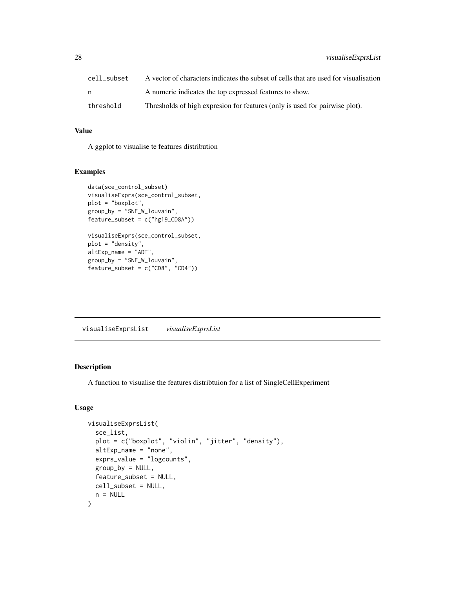<span id="page-27-0"></span>

| cell subset | A vector of characters indicates the subset of cells that are used for visualisation |
|-------------|--------------------------------------------------------------------------------------|
|             | A numeric indicates the top expressed features to show.                              |
| threshold   | Thresholds of high expression for features (only is used for pairwise plot).         |

# Value

A ggplot to visualise te features distribution

# Examples

```
data(sce_control_subset)
visualiseExprs(sce_control_subset,
plot = "boxplot",
group_by = "SNF_W_louvain",
feature\_subset = c("hg19_CDBA"))visualiseExprs(sce_control_subset,
plot = "density",
altExp_name = "ADT",
group_by = "SNF_W_louvain",
feature_subset = c("CD8", "CD4"))
```
visualiseExprsList *visualiseExprsList*

#### Description

A function to visualise the features distribtuion for a list of SingleCellExperiment

#### Usage

```
visualiseExprsList(
  sce_list,
 plot = c("boxplot", "violin", "jitter", "density"),
  altExp_name = "none",
  exprs_value = "logcounts",
  group_by = NULL,feature_subset = NULL,
 cell_subset = NULL,
 n = NULL)
```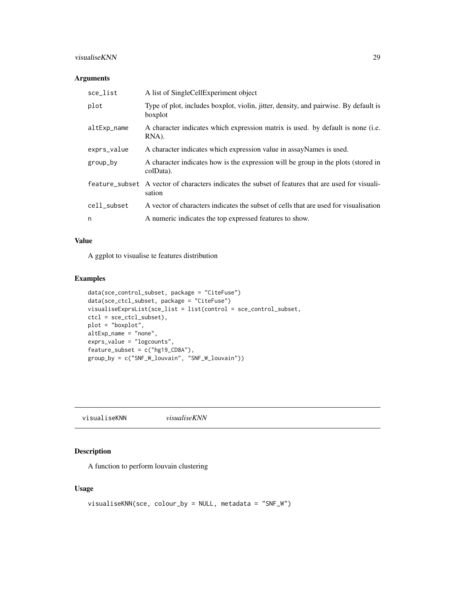#### <span id="page-28-0"></span>visualiseKNN 29

#### Arguments

| sce_list    | A list of SingleCellExperiment object                                                                       |
|-------------|-------------------------------------------------------------------------------------------------------------|
| plot        | Type of plot, includes boxplot, violin, jitter, density, and pairwise. By default is<br>boxplot             |
| altExp_name | A character indicates which expression matrix is used, by default is none (i.e.<br>RNA).                    |
| exprs_value | A character indicates which expression value in assayNames is used.                                         |
| group_by    | A character indicates how is the expression will be group in the plots (stored in<br>colData).              |
|             | feature subset A vector of characters indicates the subset of features that are used for visuali-<br>sation |
| cell_subset | A vector of characters indicates the subset of cells that are used for visualisation                        |
| n           | A numeric indicates the top expressed features to show.                                                     |

#### Value

A ggplot to visualise te features distribution

# Examples

```
data(sce_control_subset, package = "CiteFuse")
data(sce_ctcl_subset, package = "CiteFuse")
visualiseExprsList(sce_list = list(control = sce_control_subset,
ctcl = sce_ctcl_subset),
plot = "boxplot",
altExp_name = "none",
exprs_value = "logcounts",
feature_subset = c("hg19_CD8A"),
group_by = c("SNF_W_louvain", "SNF_W_louvain"))
```
visualiseKNN *visualiseKNN*

#### Description

A function to perform louvain clustering

#### Usage

```
visualiseKNN(sce, colour_by = NULL, metadata = "SNF_W")
```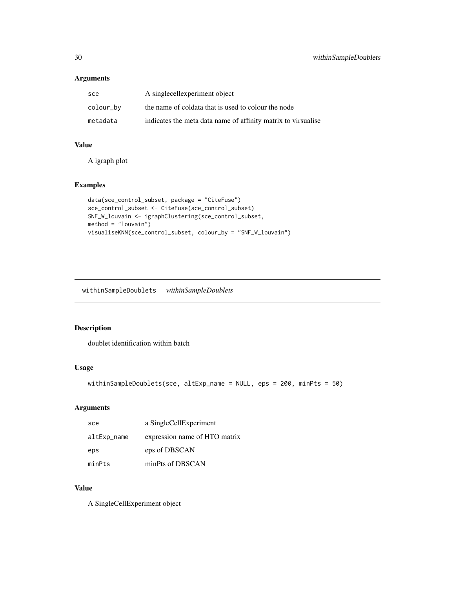# <span id="page-29-0"></span>Arguments

| sce       | A singlecellexperiment object                                 |
|-----------|---------------------------------------------------------------|
| colour_by | the name of coldata that is used to colour the node           |
| metadata  | indicates the meta data name of affinity matrix to virsualise |

# Value

A igraph plot

#### Examples

```
data(sce_control_subset, package = "CiteFuse")
sce_control_subset <- CiteFuse(sce_control_subset)
SNF_W_louvain <- igraphClustering(sce_control_subset,
method = "louvain")
visualiseKNN(sce_control_subset, colour_by = "SNF_W_louvain")
```
withinSampleDoublets *withinSampleDoublets*

# Description

doublet identification within batch

# Usage

```
withinSampleDoublets(sce, altExp_name = NULL, eps = 200, minPts = 50)
```
# Arguments

| sce         | a SingleCellExperiment        |
|-------------|-------------------------------|
| altExp_name | expression name of HTO matrix |
| eps         | eps of DBSCAN                 |
| minPts      | minPts of DBSCAN              |

# Value

A SingleCellExperiment object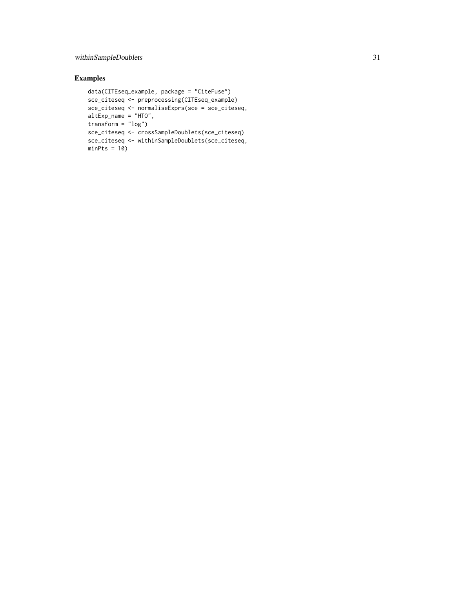# withinSampleDoublets 31

```
data(CITEseq_example, package = "CiteFuse")
sce_citeseq <- preprocessing(CITEseq_example)
sce_citeseq <- normaliseExprs(sce = sce_citeseq,
altExp_name = "HTO",
transform = "log")
sce_citeseq <- crossSampleDoublets(sce_citeseq)
sce_citeseq <- withinSampleDoublets(sce_citeseq,
minPts = 10
```